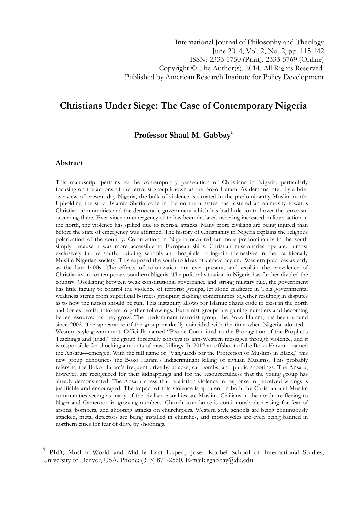# Christians Under Siege: The Case of Contemporary Nigeria

Professor Shaul M. Gabbay<sup>1</sup>

#### Abstract

l

This manuscript pertains to the contemporary persecution of Christians in Nigeria, particularly focusing on the actions of the terrorist group known as the Boko Haram. As demonstrated by a brief overview of present day Nigeria, the bulk of violence is situated in the predominantly Muslim north. Upholding the strict Islamic Sharia code in the northern states has fostered an animosity towards Christian communities and the democratic government which has had little control over the terrorism occurring there. Ever since an emergency state has been declared ushering increased military action in the north, the violence has spiked due to reprisal attacks. Many more civilians are being injured than before the state of emergency was affirmed. The history of Christianity in Nigeria explains the religious polarization of the country. Colonization in Nigeria occurred far more predominantly in the south simply because it was more accessible to European ships. Christian missionaries operated almost exclusively in the south, building schools and hospitals to ingrain themselves in the traditionally Muslim Nigerian society. This exposed the south to ideas of democracy and Western practices as early as the late 1400s. The effects of colonization are ever present, and explain the prevalence of Christianity in contemporary southern Nigeria. The political situation in Nigeria has further divided the country. Oscillating between weak constitutional governance and strong military rule, the government has little faculty to control the violence of terrorist groups, let alone eradicate it. This governmental weakness stems from superficial borders grouping clashing communities together resulting in disputes as to how the nation should be run. This instability allows for Islamic Sharia code to exist in the north and for extremist thinkers to gather followings. Extremist groups are gaining numbers and becoming better resourced as they grow. The predominant terrorist group, the Boko Haram, has been around since 2002. The appearance of the group markedly coincided with the time when Nigeria adopted a Western style government. Officially named "People Committed to the Propagation of the Prophet's Teachings and Jihad," the group forcefully conveys its anti-Western messages through violence, and it is responsible for shocking amounts of mass killings. In 2012 an offshoot of the Boko Haram—named the Ansaru—emerged. With the full name of "Vanguards for the Protection of Muslims in Black," this new group denounces the Boko Haram's indiscriminant killing of civilian Muslims. This probably refers to the Boko Haram's frequent drive-by attacks, car bombs, and public shootings. The Ansaru, however, are recognized for their kidnappings and for the resourcefulness that the young group has already demonstrated. The Ansaru stress that retaliation violence in response to perceived wrongs is justifiable and encouraged. The impact of this violence is apparent in both the Christian and Muslim communities seeing as many of the civilian casualties are Muslim. Civilians in the north are fleeing to Niger and Cameroon in growing numbers. Church attendance is continuously decreasing for fear of arsons, bombers, and shooting attacks on churchgoers. Western style schools are being continuously attacked, metal detectors are being installed in churches, and motorcycles are even being banned in northern cities for fear of drive by shootings.

<sup>1</sup> PhD, Muslim World and Middle East Expert, Josef Korbel School of International Studies, University of Denver, USA. Phone: (303) 871-2560. E-mail: sgabbay@du.edu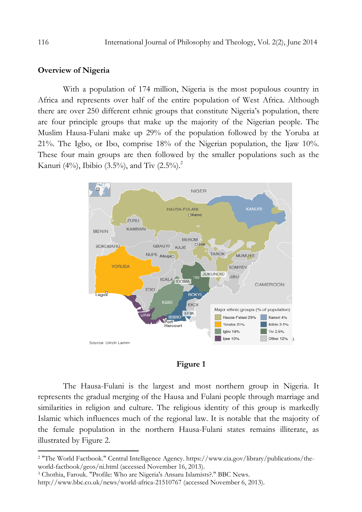### Overview of Nigeria

With a population of 174 million, Nigeria is the most populous country in Africa and represents over half of the entire population of West Africa. Although there are over 250 different ethnic groups that constitute Nigeria's population, there are four principle groups that make up the majority of the Nigerian people. The Muslim Hausa-Fulani make up 29% of the population followed by the Yoruba at 21%. The Igbo, or Ibo, comprise 18% of the Nigerian population, the Ijaw 10%. These four main groups are then followed by the smaller populations such as the Kanuri (4%), Ibibio (3.5%), and Tiv (2.5%).<sup>2</sup>



### Figure 1

The Hausa-Fulani is the largest and most northern group in Nigeria. It represents the gradual merging of the Hausa and Fulani people through marriage and similarities in religion and culture. The religious identity of this group is markedly Islamic which influences much of the regional law. It is notable that the majority of the female population in the northern Hausa-Fulani states remains illiterate, as illustrated by Figure 2.

<sup>2</sup> "The World Factbook." Central Intelligence Agency. https://www.cia.gov/library/publications/theworld-factbook/geos/ni.html (accessed November 16, 2013).

<sup>3</sup> Chothia, Farouk. "Profile: Who are Nigeria's Ansaru Islamists?." BBC News.

http://www.bbc.co.uk/news/world-africa-21510767 (accessed November 6, 2013).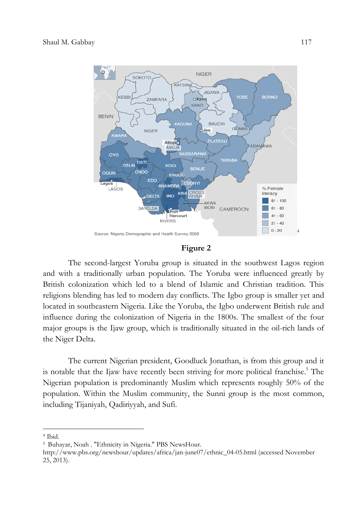

### Figure 2

The second-largest Yoruba group is situated in the southwest Lagos region and with a traditionally urban population. The Yoruba were influenced greatly by British colonization which led to a blend of Islamic and Christian tradition. This religions blending has led to modern day conflicts. The Igbo group is smaller yet and located in southeastern Nigeria. Like the Yoruba, the Igbo underwent British rule and influence during the colonization of Nigeria in the 1800s. The smallest of the four major groups is the Ijaw group, which is traditionally situated in the oil-rich lands of the Niger Delta.

The current Nigerian president, Goodluck Jonathan, is from this group and it is notable that the Ijaw have recently been striving for more political franchise.<sup>5</sup> The Nigerian population is predominantly Muslim which represents roughly 50% of the population. Within the Muslim community, the Sunni group is the most common, including Tijaniyah, Qadiriyyah, and Sufi.

l

<sup>4</sup> Ibid.

<sup>&</sup>lt;sup>5</sup> Buhayar, Noah . "Ethnicity in Nigeria." PBS NewsHour.

http://www.pbs.org/newshour/updates/africa/jan-june07/ethnic\_04-05.html (accessed November 25, 2013).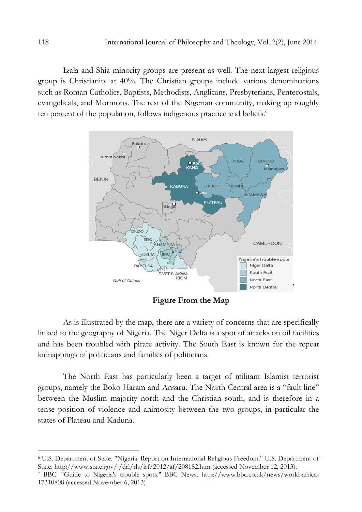Izala and Shia minority groups are present as well. The next largest religious group is Christianity at 40%. The Christian groups include various denominations such as Roman Catholics, Baptists, Methodists, Anglicans, Presbyterians, Pentecostals, evangelicals, and Mormons. The rest of the Nigerian community, making up roughly ten percent of the population, follows indigenous practice and beliefs.<sup>6</sup>



Figure From the Map

As is illustrated by the map, there are a variety of concerns that are specifically linked to the geography of Nigeria. The Niger Delta is a spot of attacks on oil facilities and has been troubled with pirate activity. The South East is known for the repeat kidnappings of politicians and families of politicians.

The North East has particularly been a target of militant Islamist terrorist groups, namely the Boko Haram and Ansaru. The North Central area is a "fault line" between the Muslim majority north and the Christian south, and is therefore in a tense position of violence and animosity between the two groups, in particular the states of Plateau and Kaduna.

<sup>6</sup> U.S. Department of State. "Nigeria: Report on International Religious Freedom." U.S. Department of State. http://www.state.gov/j/drl/rls/irf/2012/af/208182.htm (accessed November 12, 2013).

<sup>7</sup> BBC. "Guide to Nigeria's trouble spots." BBC News. http://www.bbc.co.uk/news/world-africa-17310808 (accessed November 6, 2013)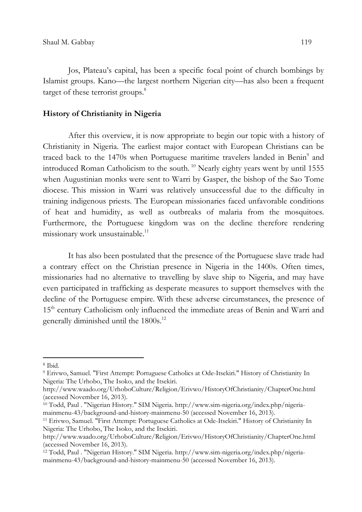Jos, Plateau's capital, has been a specific focal point of church bombings by Islamist groups. Kano—the largest northern Nigerian city—has also been a frequent target of these terrorist groups.<sup>8</sup>

### History of Christianity in Nigeria

After this overview, it is now appropriate to begin our topic with a history of Christianity in Nigeria. The earliest major contact with European Christians can be traced back to the 1470s when Portuguese maritime travelers landed in Benin<sup>9</sup> and introduced Roman Catholicism to the south.<sup>10</sup> Nearly eighty years went by until 1555 when Augustinian monks were sent to Warri by Gasper, the bishop of the Sao Tome diocese. This mission in Warri was relatively unsuccessful due to the difficulty in training indigenous priests. The European missionaries faced unfavorable conditions of heat and humidity, as well as outbreaks of malaria from the mosquitoes. Furthermore, the Portuguese kingdom was on the decline therefore rendering missionary work unsustainable.<sup>11</sup>

It has also been postulated that the presence of the Portuguese slave trade had a contrary effect on the Christian presence in Nigeria in the 1400s. Often times, missionaries had no alternative to travelling by slave ship to Nigeria, and may have even participated in trafficking as desperate measures to support themselves with the decline of the Portuguese empire. With these adverse circumstances, the presence of 15<sup>th</sup> century Catholicism only influenced the immediate areas of Benin and Warri and generally diminished until the 1800s.<sup>12</sup>

l

<sup>8</sup> Ibid.

<sup>9</sup> Erivwo, Samuel. "First Attempt: Portuguese Catholics at Ode-Itsekiri." History of Christianity In Nigeria: The Urhobo, The Isoko, and the Itsekiri.

http://www.waado.org/UrhoboCulture/Religion/Erivwo/HistoryOfChristianity/ChapterOne.html (accessed November 16, 2013).

<sup>10</sup> Todd, Paul . "Nigerian History." SIM Nigeria. http://www.sim-nigeria.org/index.php/nigeriamainmenu-43/background-and-history-mainmenu-50 (accessed November 16, 2013).

<sup>11</sup> Erivwo, Samuel. "First Attempt: Portuguese Catholics at Ode-Itsekiri." History of Christianity In Nigeria: The Urhobo, The Isoko, and the Itsekiri.

http://www.waado.org/UrhoboCulture/Religion/Erivwo/HistoryOfChristianity/ChapterOne.html (accessed November 16, 2013).

<sup>12</sup> Todd, Paul . "Nigerian History." SIM Nigeria. http://www.sim-nigeria.org/index.php/nigeriamainmenu-43/background-and-history-mainmenu-50 (accessed November 16, 2013).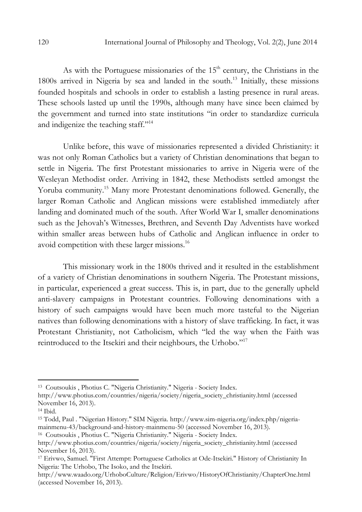As with the Portuguese missionaries of the  $15<sup>th</sup>$  century, the Christians in the 1800s arrived in Nigeria by sea and landed in the south.<sup>13</sup> Initially, these missions founded hospitals and schools in order to establish a lasting presence in rural areas. These schools lasted up until the 1990s, although many have since been claimed by the government and turned into state institutions "in order to standardize curricula and indigenize the teaching staff."<sup>14</sup>

Unlike before, this wave of missionaries represented a divided Christianity: it was not only Roman Catholics but a variety of Christian denominations that began to settle in Nigeria. The first Protestant missionaries to arrive in Nigeria were of the Wesleyan Methodist order. Arriving in 1842, these Methodists settled amongst the Yoruba community.<sup>15</sup> Many more Protestant denominations followed. Generally, the larger Roman Catholic and Anglican missions were established immediately after landing and dominated much of the south. After World War I, smaller denominations such as the Jehovah's Witnesses, Brethren, and Seventh Day Adventists have worked within smaller areas between hubs of Catholic and Anglican influence in order to avoid competition with these larger missions.<sup>16</sup>

This missionary work in the 1800s thrived and it resulted in the establishment of a variety of Christian denominations in southern Nigeria. The Protestant missions, in particular, experienced a great success. This is, in part, due to the generally upheld anti-slavery campaigns in Protestant countries. Following denominations with a history of such campaigns would have been much more tasteful to the Nigerian natives than following denominations with a history of slave trafficking. In fact, it was Protestant Christianity, not Catholicism, which "led the way when the Faith was reintroduced to the Itsekiri and their neighbours, the Urhobo."<sup>17</sup>

 $\overline{a}$ 

<sup>16</sup> Coutsoukis , Photius C. "Nigeria Christianity." Nigeria - Society Index.

<sup>13</sup> Coutsoukis , Photius C. "Nigeria Christianity." Nigeria - Society Index.

http://www.photius.com/countries/nigeria/society/nigeria\_society\_christianity.html (accessed November 16, 2013).

<sup>14</sup> Ibid.

<sup>15</sup> Todd, Paul . "Nigerian History." SIM Nigeria. http://www.sim-nigeria.org/index.php/nigeriamainmenu-43/background-and-history-mainmenu-50 (accessed November 16, 2013).

http://www.photius.com/countries/nigeria/society/nigeria\_society\_christianity.html (accessed November 16, 2013).

<sup>17</sup> Erivwo, Samuel. "First Attempt: Portuguese Catholics at Ode-Itsekiri." History of Christianity In Nigeria: The Urhobo, The Isoko, and the Itsekiri.

http://www.waado.org/UrhoboCulture/Religion/Erivwo/HistoryOfChristianity/ChapterOne.html (accessed November 16, 2013).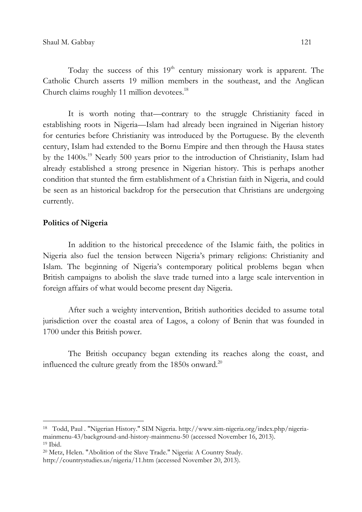Today the success of this  $19<sup>th</sup>$  century missionary work is apparent. The Catholic Church asserts 19 million members in the southeast, and the Anglican Church claims roughly 11 million devotees.<sup>18</sup>

It is worth noting that—contrary to the struggle Christianity faced in establishing roots in Nigeria—Islam had already been ingrained in Nigerian history for centuries before Christianity was introduced by the Portuguese. By the eleventh century, Islam had extended to the Bornu Empire and then through the Hausa states by the 1400s.<sup>19</sup> Nearly 500 years prior to the introduction of Christianity, Islam had already established a strong presence in Nigerian history. This is perhaps another condition that stunted the firm establishment of a Christian faith in Nigeria, and could be seen as an historical backdrop for the persecution that Christians are undergoing currently.

### Politics of Nigeria

l

In addition to the historical precedence of the Islamic faith, the politics in Nigeria also fuel the tension between Nigeria's primary religions: Christianity and Islam. The beginning of Nigeria's contemporary political problems began when British campaigns to abolish the slave trade turned into a large scale intervention in foreign affairs of what would become present day Nigeria.

After such a weighty intervention, British authorities decided to assume total jurisdiction over the coastal area of Lagos, a colony of Benin that was founded in 1700 under this British power.

The British occupancy began extending its reaches along the coast, and influenced the culture greatly from the 1850s onward. $^{20}$ 

<sup>18</sup> Todd, Paul . "Nigerian History." SIM Nigeria. http://www.sim-nigeria.org/index.php/nigeriamainmenu-43/background-and-history-mainmenu-50 (accessed November 16, 2013). <sup>19</sup> Ibid.

<sup>20</sup> Metz, Helen. "Abolition of the Slave Trade." Nigeria: A Country Study.

http://countrystudies.us/nigeria/11.htm (accessed November 20, 2013).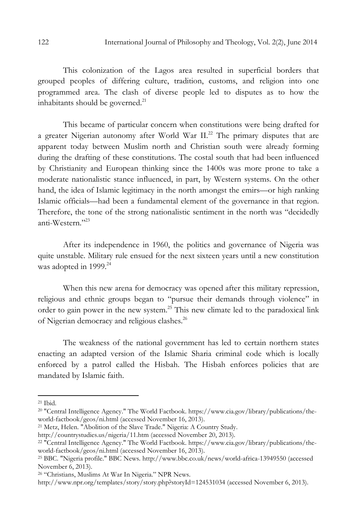This colonization of the Lagos area resulted in superficial borders that grouped peoples of differing culture, tradition, customs, and religion into one programmed area. The clash of diverse people led to disputes as to how the inhabitants should be governed.<sup>21</sup>

This became of particular concern when constitutions were being drafted for a greater Nigerian autonomy after World War II.<sup>22</sup> The primary disputes that are apparent today between Muslim north and Christian south were already forming during the drafting of these constitutions. The costal south that had been influenced by Christianity and European thinking since the 1400s was more prone to take a moderate nationalistic stance influenced, in part, by Western systems. On the other hand, the idea of Islamic legitimacy in the north amongst the emirs—or high ranking Islamic officials—had been a fundamental element of the governance in that region. Therefore, the tone of the strong nationalistic sentiment in the north was "decidedly anti-Western."<sup>23</sup>

After its independence in 1960, the politics and governance of Nigeria was quite unstable. Military rule ensued for the next sixteen years until a new constitution was adopted in 1999.<sup>24</sup>

When this new arena for democracy was opened after this military repression, religious and ethnic groups began to "pursue their demands through violence" in order to gain power in the new system.<sup>25</sup> This new climate led to the paradoxical link of Nigerian democracy and religious clashes.<sup>26</sup>

The weakness of the national government has led to certain northern states enacting an adapted version of the Islamic Sharia criminal code which is locally enforced by a patrol called the Hisbah. The Hisbah enforces policies that are mandated by Islamic faith.

 $\overline{a}$ 

<sup>21</sup> Metz, Helen. "Abolition of the Slave Trade." Nigeria: A Country Study.

<sup>21</sup> Ibid.

<sup>&</sup>lt;sup>20</sup> "Central Intelligence Agency." The World Factbook. https://www.cia.gov/library/publications/theworld-factbook/geos/ni.html (accessed November 16, 2013).

http://countrystudies.us/nigeria/11.htm (accessed November 20, 2013).

<sup>&</sup>lt;sup>22 "</sup>Central Intelligence Agency." The World Factbook. https://www.cia.gov/library/publications/theworld-factbook/geos/ni.html (accessed November 16, 2013).

<sup>25</sup> BBC. "Nigeria profile." BBC News. http://www.bbc.co.uk/news/world-africa-13949550 (accessed November 6, 2013).

<sup>26</sup> "Christians, Muslims At War In Nigeria." NPR News.

http://www.npr.org/templates/story/story.php?storyId=124531034 (accessed November 6, 2013).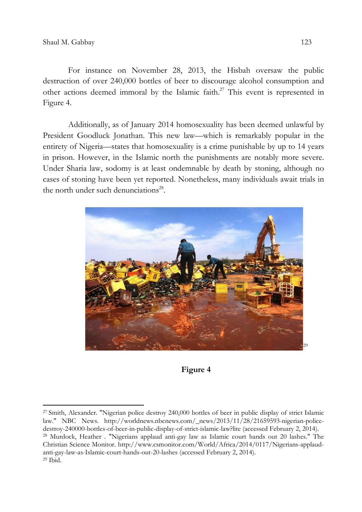For instance on November 28, 2013, the Hisbah oversaw the public destruction of over 240,000 bottles of beer to discourage alcohol consumption and other actions deemed immoral by the Islamic faith.<sup>27</sup> This event is represented in Figure 4.

Additionally, as of January 2014 homosexuality has been deemed unlawful by President Goodluck Jonathan. This new law—which is remarkably popular in the entirety of Nigeria—states that homosexuality is a crime punishable by up to 14 years in prison. However, in the Islamic north the punishments are notably more severe. Under Sharia law, sodomy is at least ondemnable by death by stoning, although no cases of stoning have been yet reported. Nonetheless, many individuals await trials in the north under such denunciations $28$ .



### Figure 4

<sup>27</sup>Smith, Alexander. "Nigerian police destroy 240,000 bottles of beer in public display of strict Islamic law." NBC News. http://worldnews.nbcnews.com/\_news/2013/11/28/21659593-nigerian-policedestroy-240000-bottles-of-beer-in-public-display-of-strict-islamic-law?lite (accessed February 2, 2014). <sup>28</sup> Murdock, Heather . "Nigerians applaud anti-gay law as Islamic court hands out 20 lashes." The Christian Science Monitor. http://www.csmonitor.com/World/Africa/2014/0117/Nigerians-applaudanti-gay-law-as-Islamic-court-hands-out-20-lashes (accessed February 2, 2014).  $29$  Ibid.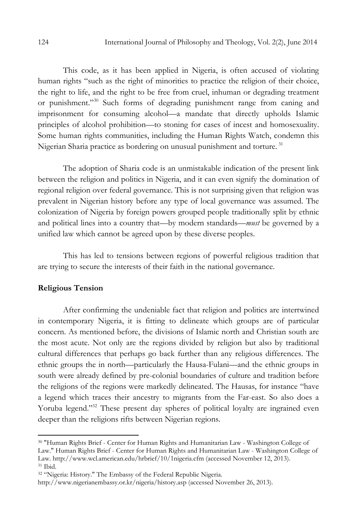This code, as it has been applied in Nigeria, is often accused of violating human rights "such as the right of minorities to practice the religion of their choice, the right to life, and the right to be free from cruel, inhuman or degrading treatment or punishment."<sup>30</sup> Such forms of degrading punishment range from caning and imprisonment for consuming alcohol—a mandate that directly upholds Islamic principles of alcohol prohibition—to stoning for cases of incest and homosexuality. Some human rights communities, including the Human Rights Watch, condemn this Nigerian Sharia practice as bordering on unusual punishment and torture.<sup>31</sup>

The adoption of Sharia code is an unmistakable indication of the present link between the religion and politics in Nigeria, and it can even signify the domination of regional religion over federal governance. This is not surprising given that religion was prevalent in Nigerian history before any type of local governance was assumed. The colonization of Nigeria by foreign powers grouped people traditionally split by ethnic and political lines into a country that—by modern standards—*must* be governed by a unified law which cannot be agreed upon by these diverse peoples.

This has led to tensions between regions of powerful religious tradition that are trying to secure the interests of their faith in the national governance.

### Religious Tension

 $\overline{a}$ 

After confirming the undeniable fact that religion and politics are intertwined in contemporary Nigeria, it is fitting to delineate which groups are of particular concern. As mentioned before, the divisions of Islamic north and Christian south are the most acute. Not only are the regions divided by religion but also by traditional cultural differences that perhaps go back further than any religious differences. The ethnic groups the in north—particularly the Hausa-Fulani—and the ethnic groups in south were already defined by pre-colonial boundaries of culture and tradition before the religions of the regions were markedly delineated. The Hausas, for instance "have a legend which traces their ancestry to migrants from the Far-east. So also does a Yoruba legend."<sup>32</sup> These present day spheres of political loyalty are ingrained even deeper than the religions rifts between Nigerian regions.

<sup>30</sup> "Human Rights Brief - Center for Human Rights and Humanitarian Law - Washington College of Law." Human Rights Brief - Center for Human Rights and Humanitarian Law - Washington College of Law. http://www.wcl.american.edu/hrbrief/10/1nigeria.cfm (accessed November 12, 2013). <sup>31</sup> Ibid.

<sup>32</sup> "Nigeria: History." The Embassy of the Federal Republic Nigeria.

http://www.nigerianembassy.or.kr/nigeria/history.asp (accessed November 26, 2013).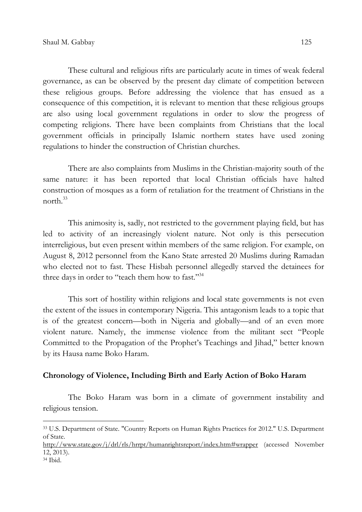These cultural and religious rifts are particularly acute in times of weak federal governance, as can be observed by the present day climate of competition between these religious groups. Before addressing the violence that has ensued as a consequence of this competition, it is relevant to mention that these religious groups are also using local government regulations in order to slow the progress of competing religions. There have been complaints from Christians that the local government officials in principally Islamic northern states have used zoning regulations to hinder the construction of Christian churches.

There are also complaints from Muslims in the Christian-majority south of the same nature: it has been reported that local Christian officials have halted construction of mosques as a form of retaliation for the treatment of Christians in the north $^{33}$ 

This animosity is, sadly, not restricted to the government playing field, but has led to activity of an increasingly violent nature. Not only is this persecution interreligious, but even present within members of the same religion. For example, on August 8, 2012 personnel from the Kano State arrested 20 Muslims during Ramadan who elected not to fast. These Hisbah personnel allegedly starved the detainees for three days in order to "teach them how to fast."<sup>34</sup>

This sort of hostility within religions and local state governments is not even the extent of the issues in contemporary Nigeria. This antagonism leads to a topic that is of the greatest concern—both in Nigeria and globally—and of an even more violent nature. Namely, the immense violence from the militant sect "People Committed to the Propagation of the Prophet's Teachings and Jihad," better known by its Hausa name Boko Haram.

### Chronology of Violence, Including Birth and Early Action of Boko Haram

The Boko Haram was born in a climate of government instability and religious tension.

l

<sup>33</sup> U.S. Department of State. "Country Reports on Human Rights Practices for 2012." U.S. Department of State.

http://www.state.gov/j/drl/rls/hrrpt/humanrightsreport/index.htm#wrapper (accessed November 12, 2013).

<sup>34</sup> Ibid.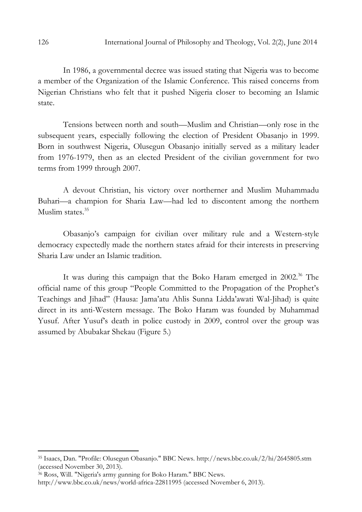In 1986, a governmental decree was issued stating that Nigeria was to become a member of the Organization of the Islamic Conference. This raised concerns from Nigerian Christians who felt that it pushed Nigeria closer to becoming an Islamic state.

Tensions between north and south—Muslim and Christian—only rose in the subsequent years, especially following the election of President Obasanjo in 1999. Born in southwest Nigeria, Olusegun Obasanjo initially served as a military leader from 1976-1979, then as an elected President of the civilian government for two terms from 1999 through 2007.

A devout Christian, his victory over northerner and Muslim Muhammadu Buhari—a champion for Sharia Law—had led to discontent among the northern Muslim states.<sup>35</sup>

Obasanjo's campaign for civilian over military rule and a Western-style democracy expectedly made the northern states afraid for their interests in preserving Sharia Law under an Islamic tradition.

It was during this campaign that the Boko Haram emerged in 2002.<sup>36</sup> The official name of this group "People Committed to the Propagation of the Prophet's Teachings and Jihad" (Hausa: Jama'atu Ahlis Sunna Lidda'awati Wal-Jihad) is quite direct in its anti-Western message. The Boko Haram was founded by Muhammad Yusuf. After Yusuf's death in police custody in 2009, control over the group was assumed by Abubakar Shekau (Figure 5.)

<sup>35</sup> Isaacs, Dan. "Profile: Olusegun Obasanjo." BBC News. http://news.bbc.co.uk/2/hi/2645805.stm (accessed November 30, 2013).

<sup>36</sup> Ross, Will. "Nigeria's army gunning for Boko Haram." BBC News.

http://www.bbc.co.uk/news/world-africa-22811995 (accessed November 6, 2013).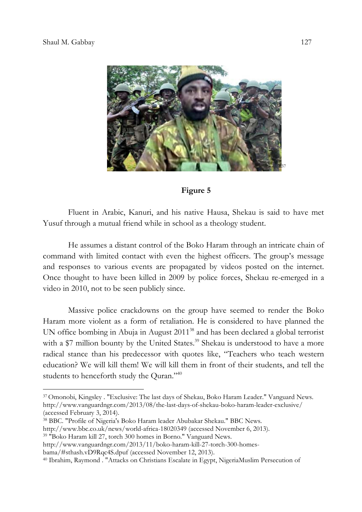

### Figure 5

Fluent in Arabic, Kanuri, and his native Hausa, Shekau is said to have met Yusuf through a mutual friend while in school as a theology student.

He assumes a distant control of the Boko Haram through an intricate chain of command with limited contact with even the highest officers. The group's message and responses to various events are propagated by videos posted on the internet. Once thought to have been killed in 2009 by police forces, Shekau re-emerged in a video in 2010, not to be seen publicly since.

Massive police crackdowns on the group have seemed to render the Boko Haram more violent as a form of retaliation. He is considered to have planned the UN office bombing in Abuja in August 2011<sup>38</sup> and has been declared a global terrorist with a  $$7$  million bounty by the United States.<sup>39</sup> Shekau is understood to have a more radical stance than his predecessor with quotes like, "Teachers who teach western education? We will kill them! We will kill them in front of their students, and tell the students to henceforth study the Quran."<sup>40</sup>

<sup>38</sup> BBC. "Profile of Nigeria's Boko Haram leader Abubakar Shekau." BBC News.

bama/#sthash.vD9Rqc4S.dpuf (accessed November 12, 2013).

<sup>37</sup>Omonobi, Kingsley . "Exclusive: The last days of Shekau, Boko Haram Leader." Vanguard News. http://www.vanguardngr.com/2013/08/the-last-days-of-shekau-boko-haram-leader-exclusive/ (accessed February 3, 2014).

http://www.bbc.co.uk/news/world-africa-18020349 (accessed November 6, 2013).

<sup>39</sup> "Boko Haram kill 27, torch 300 homes in Borno." Vanguard News.

http://www.vanguardngr.com/2013/11/boko-haram-kill-27-torch-300-homes-

<sup>40</sup> Ibrahim, Raymond . "Attacks on Christians Escalate in Egypt, NigeriaMuslim Persecution of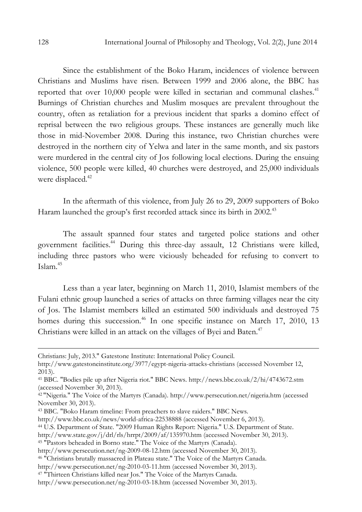Since the establishment of the Boko Haram, incidences of violence between Christians and Muslims have risen. Between 1999 and 2006 alone, the BBC has reported that over  $10,000$  people were killed in sectarian and communal clashes.<sup>41</sup> Burnings of Christian churches and Muslim mosques are prevalent throughout the country, often as retaliation for a previous incident that sparks a domino effect of reprisal between the two religious groups. These instances are generally much like those in mid-November 2008. During this instance, two Christian churches were destroyed in the northern city of Yelwa and later in the same month, and six pastors were murdered in the central city of Jos following local elections. During the ensuing violence, 500 people were killed, 40 churches were destroyed, and 25,000 individuals were displaced.<sup>42</sup>

In the aftermath of this violence, from July 26 to 29, 2009 supporters of Boko Haram launched the group's first recorded attack since its birth in 2002.<sup>43</sup>

The assault spanned four states and targeted police stations and other government facilities.<sup>44</sup> During this three-day assault, 12 Christians were killed, including three pastors who were viciously beheaded for refusing to convert to Islam.<sup>45</sup>

Less than a year later, beginning on March 11, 2010, Islamist members of the Fulani ethnic group launched a series of attacks on three farming villages near the city of Jos. The Islamist members killed an estimated 500 individuals and destroyed 75 homes during this succession.<sup>46</sup> In one specific instance on March 17, 2010, 13 Christians were killed in an attack on the villages of Byei and Baten.<sup>47</sup>

<sup>44</sup> U.S. Department of State. "2009 Human Rights Report: Nigeria." U.S. Department of State.

Christians: July, 2013." Gatestone Institute: International Policy Council.

http://www.gatestoneinstitute.org/3977/egypt-nigeria-attacks-christians (accessed November 12, 2013).

<sup>41</sup> BBC. "Bodies pile up after Nigeria riot." BBC News. http://news.bbc.co.uk/2/hi/4743672.stm (accessed November 30, 2013).

<sup>42</sup>"Nigeria." The Voice of the Martyrs (Canada). http://www.persecution.net/nigeria.htm (accessed November 30, 2013).

<sup>43</sup> BBC. "Boko Haram timeline: From preachers to slave raiders." BBC News.

http://www.bbc.co.uk/news/world-africa-22538888 (accessed November 6, 2013).

http://www.state.gov/j/drl/rls/hrrpt/2009/af/135970.htm (accessed November 30, 2013).

<sup>45</sup> "Pastors beheaded in Borno state." The Voice of the Martyrs (Canada).

http://www.persecution.net/ng-2009-08-12.htm (accessed November 30, 2013).

<sup>46</sup> "Christians brutally massacred in Plateau state." The Voice of the Martyrs Canada.

http://www.persecution.net/ng-2010-03-11.htm (accessed November 30, 2013).

<sup>47</sup> "Thirteen Christians killed near Jos." The Voice of the Martyrs Canada.

http://www.persecution.net/ng-2010-03-18.htm (accessed November 30, 2013).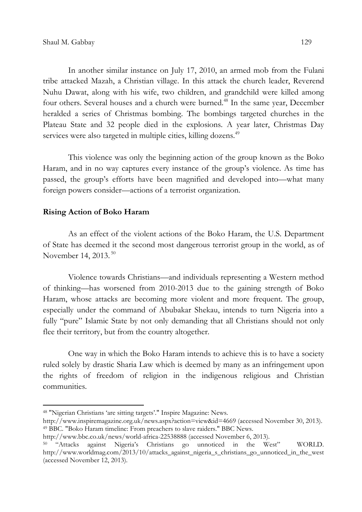In another similar instance on July 17, 2010, an armed mob from the Fulani tribe attacked Mazah, a Christian village. In this attack the church leader, Reverend Nuhu Dawat, along with his wife, two children, and grandchild were killed among four others. Several houses and a church were burned.<sup>48</sup> In the same year, December heralded a series of Christmas bombing. The bombings targeted churches in the Plateau State and 32 people died in the explosions. A year later, Christmas Day services were also targeted in multiple cities, killing dozens.<sup>49</sup>

This violence was only the beginning action of the group known as the Boko Haram, and in no way captures every instance of the group's violence. As time has passed, the group's efforts have been magnified and developed into—what many foreign powers consider—actions of a terrorist organization.

### Rising Action of Boko Haram

l

As an effect of the violent actions of the Boko Haram, the U.S. Department of State has deemed it the second most dangerous terrorist group in the world, as of November 14, 2013. $50$ 

Violence towards Christians—and individuals representing a Western method of thinking—has worsened from 2010-2013 due to the gaining strength of Boko Haram, whose attacks are becoming more violent and more frequent. The group, especially under the command of Abubakar Shekau, intends to turn Nigeria into a fully "pure" Islamic State by not only demanding that all Christians should not only flee their territory, but from the country altogether.

One way in which the Boko Haram intends to achieve this is to have a society ruled solely by drastic Sharia Law which is deemed by many as an infringement upon the rights of freedom of religion in the indigenous religious and Christian communities.

http://www.inspiremagazine.org.uk/news.aspx?action=view&id=4669 (accessed November 30, 2013). <sup>49</sup> BBC. "Boko Haram timeline: From preachers to slave raiders." BBC News.

<sup>48</sup> "Nigerian Christians 'are sitting targets'." Inspire Magazine: News.

http://www.bbc.co.uk/news/world-africa-22538888 (accessed November 6, 2013).

<sup>50</sup> "Attacks against Nigeria's Christians go unnoticed in the West" WORLD. http://www.worldmag.com/2013/10/attacks\_against\_nigeria\_s\_christians\_go\_unnoticed\_in\_the\_west (accessed November 12, 2013).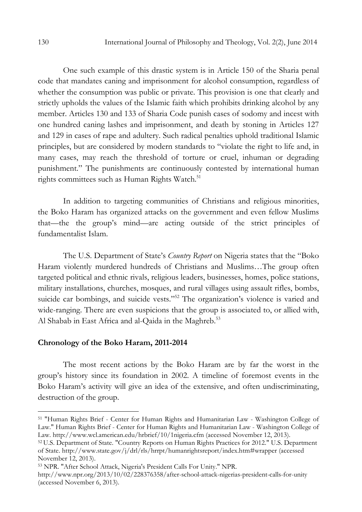One such example of this drastic system is in Article 150 of the Sharia penal code that mandates caning and imprisonment for alcohol consumption, regardless of whether the consumption was public or private. This provision is one that clearly and strictly upholds the values of the Islamic faith which prohibits drinking alcohol by any member. Articles 130 and 133 of Sharia Code punish cases of sodomy and incest with one hundred caning lashes and imprisonment, and death by stoning in Articles 127 and 129 in cases of rape and adultery. Such radical penalties uphold traditional Islamic principles, but are considered by modern standards to "violate the right to life and, in many cases, may reach the threshold of torture or cruel, inhuman or degrading punishment." The punishments are continuously contested by international human rights committees such as Human Rights Watch.<sup>51</sup>

In addition to targeting communities of Christians and religious minorities, the Boko Haram has organized attacks on the government and even fellow Muslims that—the the group's mind—are acting outside of the strict principles of fundamentalist Islam.

The U.S. Department of State's Country Report on Nigeria states that the "Boko Haram violently murdered hundreds of Christians and Muslims…The group often targeted political and ethnic rivals, religious leaders, businesses, homes, police stations, military installations, churches, mosques, and rural villages using assault rifles, bombs, suicide car bombings, and suicide vests."<sup>52</sup> The organization's violence is varied and wide-ranging. There are even suspicions that the group is associated to, or allied with, Al Shabab in East Africa and al-Qaida in the Maghreb.<sup>53</sup>

### Chronology of the Boko Haram, 2011-2014

The most recent actions by the Boko Haram are by far the worst in the group's history since its foundation in 2002. A timeline of foremost events in the Boko Haram's activity will give an idea of the extensive, and often undiscriminating, destruction of the group.

<sup>51</sup> "Human Rights Brief - Center for Human Rights and Humanitarian Law - Washington College of Law." Human Rights Brief - Center for Human Rights and Humanitarian Law - Washington College of Law. http://www.wcl.american.edu/hrbrief/10/1nigeria.cfm (accessed November 12, 2013).

<sup>52</sup>U.S. Department of State. "Country Reports on Human Rights Practices for 2012." U.S. Department of State. http://www.state.gov/j/drl/rls/hrrpt/humanrightsreport/index.htm#wrapper (accessed November 12, 2013).

<sup>53</sup> NPR. "After School Attack, Nigeria's President Calls For Unity." NPR.

http://www.npr.org/2013/10/02/228376358/after-school-attack-nigerias-president-calls-for-unity (accessed November 6, 2013).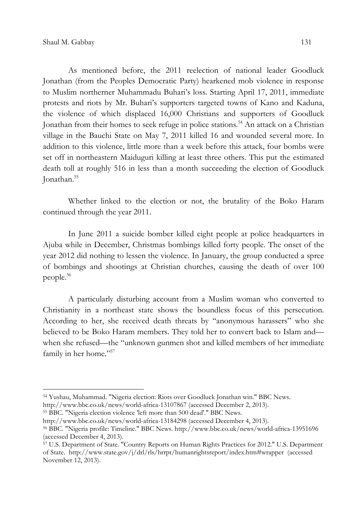As mentioned before, the 2011 reelection of national leader Goodluck Jonathan (from the Peoples Democratic Party) hearkened mob violence in response to Muslim northerner Muhammadu Buhari's loss. Starting April 17, 2011, immediate protests and riots by Mr. Buhari's supporters targeted towns of Kano and Kaduna, the violence of which displaced 16,000 Christians and supporters of Goodluck Jonathan from their homes to seek refuge in police stations.<sup>54</sup> An attack on a Christian village in the Bauchi State on May 7, 2011 killed 16 and wounded several more. In addition to this violence, little more than a week before this attack, four bombs were set off in northeastern Maiduguri killing at least three others. This put the estimated death toll at roughly 516 in less than a month succeeding the election of Goodluck Jonathan.<sup>55</sup>

Whether linked to the election or not, the brutality of the Boko Haram continued through the year 2011.

In June 2011 a suicide bomber killed eight people at police headquarters in Ajuba while in December, Christmas bombings killed forty people. The onset of the year 2012 did nothing to lessen the violence. In January, the group conducted a spree of bombings and shootings at Christian churches, causing the death of over 100 people.<sup>56</sup>

A particularly disturbing account from a Muslim woman who converted to Christianity in a northeast state shows the boundless focus of this persecution. According to her, she received death threats by "anonymous harassers" who she believed to be Boko Haram members. They told her to convert back to Islam and when she refused—the "unknown gunmen shot and killed members of her immediate family in her home."<sup>57</sup>

<sup>54</sup> Yushau, Muhammad. "Nigeria election: Riots over Goodluck Jonathan win." BBC News.

http://www.bbc.co.uk/news/world-africa-13107867 (accessed December 2, 2013).

<sup>55</sup> BBC. "Nigeria election violence 'left more than 500 dead'." BBC News.

http://www.bbc.co.uk/news/world-africa-13184298 (accessed December 4, 2013).

<sup>56</sup> BBC. "Nigeria profile: Timeline." BBC News. http://www.bbc.co.uk/news/world-africa-13951696 (accessed December 4, 2013).

<sup>57</sup> U.S. Department of State. "Country Reports on Human Rights Practices for 2012." U.S. Department of State. http://www.state.gov/j/drl/rls/hrrpt/humanrightsreport/index.htm#wrapper (accessed November 12, 2013).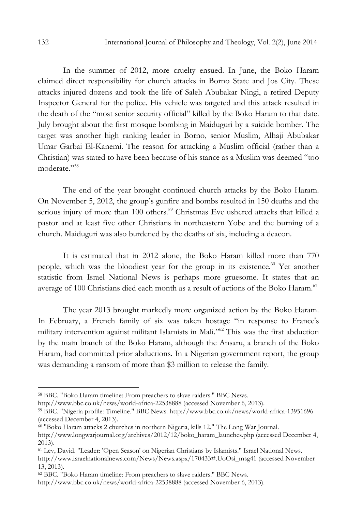In the summer of 2012, more cruelty ensued. In June, the Boko Haram claimed direct responsibility for church attacks in Borno State and Jos City. These attacks injured dozens and took the life of Saleh Abubakar Ningi, a retired Deputy Inspector General for the police. His vehicle was targeted and this attack resulted in the death of the "most senior security official" killed by the Boko Haram to that date. July brought about the first mosque bombing in Maiduguri by a suicide bomber. The target was another high ranking leader in Borno, senior Muslim, Alhaji Abubakar Umar Garbai El-Kanemi. The reason for attacking a Muslim official (rather than a Christian) was stated to have been because of his stance as a Muslim was deemed "too moderate<sup>"58</sup>

The end of the year brought continued church attacks by the Boko Haram. On November 5, 2012, the group's gunfire and bombs resulted in 150 deaths and the serious injury of more than 100 others.<sup>59</sup> Christmas Eve ushered attacks that killed a pastor and at least five other Christians in northeastern Yobe and the burning of a church. Maiduguri was also burdened by the deaths of six, including a deacon.

It is estimated that in 2012 alone, the Boko Haram killed more than 770 people, which was the bloodiest year for the group in its existence. <sup>60</sup> Yet another statistic from Israel National News is perhaps more gruesome. It states that an average of 100 Christians died each month as a result of actions of the Boko Haram.<sup>61</sup>

The year 2013 brought markedly more organized action by the Boko Haram. In February, a French family of six was taken hostage "in response to France's military intervention against militant Islamists in Mali."<sup>62</sup> This was the first abduction by the main branch of the Boko Haram, although the Ansaru, a branch of the Boko Haram, had committed prior abductions. In a Nigerian government report, the group was demanding a ransom of more than \$3 million to release the family.

<sup>58</sup> BBC. "Boko Haram timeline: From preachers to slave raiders." BBC News.

http://www.bbc.co.uk/news/world-africa-22538888 (accessed November 6, 2013).

<sup>59</sup> BBC. "Nigeria profile: Timeline." BBC News. http://www.bbc.co.uk/news/world-africa-13951696 (accessed December 4, 2013).

<sup>60</sup> "Boko Haram attacks 2 churches in northern Nigeria, kills 12." The Long War Journal. http://www.longwarjournal.org/archives/2012/12/boko\_haram\_launches.php (accessed December 4, 2013).

<sup>61</sup> Lev, David. "Leader: 'Open Season' on Nigerian Christians by Islamists." Israel National News.

http://www.israelnationalnews.com/News/News.aspx/170433#.UoOsi\_msg41 (accessed November 13, 2013).

<sup>62</sup> BBC. "Boko Haram timeline: From preachers to slave raiders." BBC News.

http://www.bbc.co.uk/news/world-africa-22538888 (accessed November 6, 2013).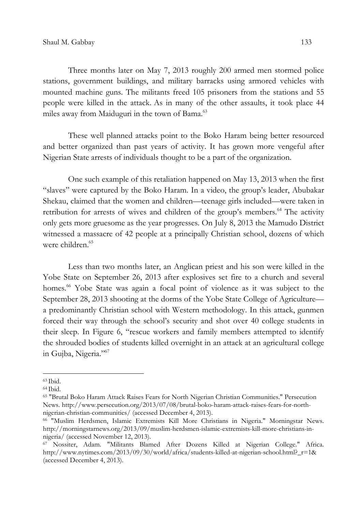Three months later on May 7, 2013 roughly 200 armed men stormed police stations, government buildings, and military barracks using armored vehicles with mounted machine guns. The militants freed 105 prisoners from the stations and 55 people were killed in the attack. As in many of the other assaults, it took place 44 miles away from Maiduguri in the town of Bama.<sup>63</sup>

These well planned attacks point to the Boko Haram being better resourced and better organized than past years of activity. It has grown more vengeful after Nigerian State arrests of individuals thought to be a part of the organization.

One such example of this retaliation happened on May 13, 2013 when the first "slaves" were captured by the Boko Haram. In a video, the group's leader, Abubakar Shekau, claimed that the women and children—teenage girls included—were taken in retribution for arrests of wives and children of the group's members.<sup>64</sup> The activity only gets more gruesome as the year progresses. On July 8, 2013 the Mamudo District witnessed a massacre of 42 people at a principally Christian school, dozens of which were children.<sup>65</sup>

Less than two months later, an Anglican priest and his son were killed in the Yobe State on September 26, 2013 after explosives set fire to a church and several homes.<sup>66</sup> Yobe State was again a focal point of violence as it was subject to the September 28, 2013 shooting at the dorms of the Yobe State College of Agriculture a predominantly Christian school with Western methodology. In this attack, gunmen forced their way through the school's security and shot over 40 college students in their sleep. In Figure 6, "rescue workers and family members attempted to identify the shrouded bodies of students killed overnight in an attack at an agricultural college in Gujba, Nigeria."<sup>67</sup>

l

 $63$  Ibid.

 $64$  Ibid.

<sup>65</sup> "Brutal Boko Haram Attack Raises Fears for North Nigerian Christian Communities." Persecution News. http://www.persecution.org/2013/07/08/brutal-boko-haram-attack-raises-fears-for-northnigerian-christian-communities/ (accessed December 4, 2013).

<sup>66</sup> "Muslim Herdsmen, Islamic Extremists Kill More Christians in Nigeria." Morningstar News. http://morningstarnews.org/2013/09/muslim-herdsmen-islamic-extremists-kill-more-christians-innigeria/ (accessed November 12, 2013).

<sup>67</sup> Nossiter, Adam. "Militants Blamed After Dozens Killed at Nigerian College." Africa. http://www.nytimes.com/2013/09/30/world/africa/students-killed-at-nigerian-school.html?\_r=1& (accessed December 4, 2013).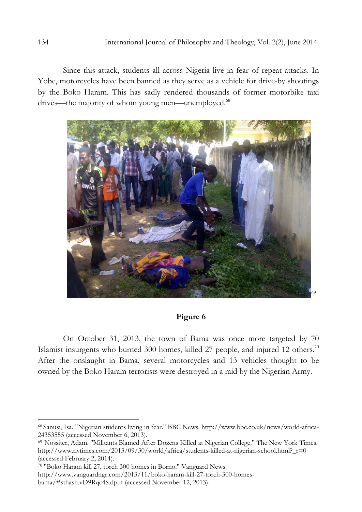Since this attack, students all across Nigeria live in fear of repeat attacks. In Yobe, motorcycles have been banned as they serve as a vehicle for drive-by shootings by the Boko Haram. This has sadly rendered thousands of former motorbike taxi drives—the majority of whom young men—unemployed.<sup>68</sup>



## Figure 6

On October 31, 2013, the town of Bama was once more targeted by 70 Islamist insurgents who burned 300 homes, killed 27 people, and injured 12 others.<sup>70</sup> After the onslaught in Bama, several motorcycles and 13 vehicles thought to be owned by the Boko Haram terrorists were destroyed in a raid by the Nigerian Army.

<sup>68</sup> Sanusi, Isa. "Nigerian students living in fear." BBC News. http://www.bbc.co.uk/news/world-africa-24353555 (accessed November 6, 2013).

<sup>&</sup>lt;sup>69</sup> Nossiter, Adam. "Militants Blamed After Dozens Killed at Nigerian College." The New York Times. http://www.nytimes.com/2013/09/30/world/africa/students-killed-at-nigerian-school.html?\_r=0 (accessed February 2, 2014).

<sup>70</sup> "Boko Haram kill 27, torch 300 homes in Borno." Vanguard News.

http://www.vanguardngr.com/2013/11/boko-haram-kill-27-torch-300-homesbama/#sthash.vD9Rqc4S.dpuf (accessed November 12, 2013).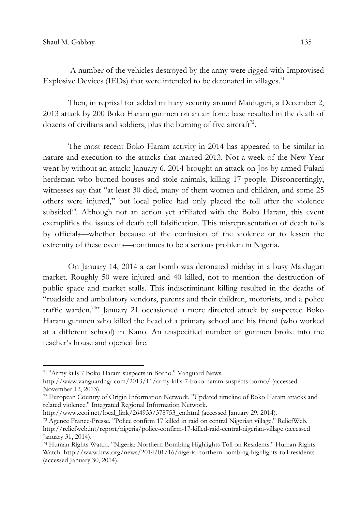A number of the vehicles destroyed by the army were rigged with Improvised Explosive Devices (IEDs) that were intended to be detonated in villages. $71$ 

Then, in reprisal for added military security around Maiduguri, a December 2, 2013 attack by 200 Boko Haram gunmen on an air force base resulted in the death of dozens of civilians and soldiers, plus the burning of five aircraft $^7$ <sup>2</sup>.

The most recent Boko Haram activity in 2014 has appeared to be similar in nature and execution to the attacks that marred 2013. Not a week of the New Year went by without an attack: January 6, 2014 brought an attack on Jos by armed Fulani herdsman who burned houses and stole animals, killing 17 people. Disconcertingly, witnesses say that "at least 30 died, many of them women and children, and some 25 others were injured," but local police had only placed the toll after the violence subsided<sup>73</sup>. Although not an action yet affiliated with the Boko Haram, this event exemplifies the issues of death toll falsification. This misrepresentation of death tolls by officials—whether because of the confusion of the violence or to lessen the extremity of these events—continues to be a serious problem in Nigeria.

On January 14, 2014 a car bomb was detonated midday in a busy Maiduguri market. Roughly 50 were injured and 40 killed, not to mention the destruction of public space and market stalls. This indiscriminant killing resulted in the deaths of "roadside and ambulatory vendors, parents and their children, motorists, and a police traffic warden.<sup>74</sup>" January 21 occasioned a more directed attack by suspected Boko Haram gunmen who killed the head of a primary school and his friend (who worked at a different school) in Kano. An unspecified number of gunmen broke into the teacher's house and opened fire.

<sup>71</sup>"Army kills 7 Boko Haram suspects in Borno." Vanguard News.

http://www.vanguardngr.com/2013/11/army-kills-7-boko-haram-suspects-borno/ (accessed November 12, 2013).

<sup>72</sup> European Country of Origin Information Network. "Updated timeline of Boko Haram attacks and related violence." Integrated Regional Information Network.

http://www.ecoi.net/local\_link/264933/378753\_en.html (accessed January 29, 2014).

<sup>73</sup> Agence France-Presse. "Police confirm 17 killed in raid on central Nigerian village." ReliefWeb. http://reliefweb.int/report/nigeria/police-confirm-17-killed-raid-central-nigerian-village (accessed January 31, 2014).

<sup>74</sup> Human Rights Watch. "Nigeria: Northern Bombing Highlights Toll on Residents." Human Rights Watch. http://www.hrw.org/news/2014/01/16/nigeria-northern-bombing-highlights-toll-residents (accessed January 30, 2014).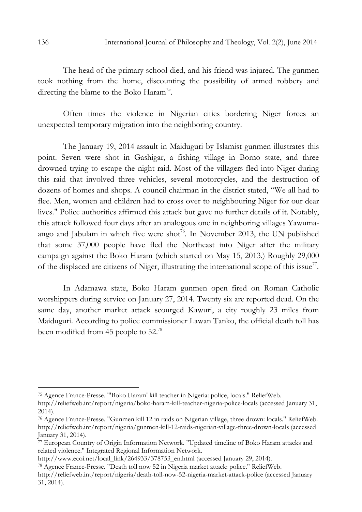The head of the primary school died, and his friend was injured. The gunmen took nothing from the home, discounting the possibility of armed robbery and directing the blame to the Boko Haram<sup>75</sup>.

Often times the violence in Nigerian cities bordering Niger forces an unexpected temporary migration into the neighboring country.

The January 19, 2014 assault in Maiduguri by Islamist gunmen illustrates this point. Seven were shot in Gashigar, a fishing village in Borno state, and three drowned trying to escape the night raid. Most of the villagers fled into Niger during this raid that involved three vehicles, several motorcycles, and the destruction of dozens of homes and shops. A council chairman in the district stated, "We all had to flee. Men, women and children had to cross over to neighbouring Niger for our dear lives." Police authorities affirmed this attack but gave no further details of it. Notably, this attack followed four days after an analogous one in neighboring villages Yawumaango and Jabulam in which five were shot<sup>76</sup>. In November 2013, the UN published that some 37,000 people have fled the Northeast into Niger after the military campaign against the Boko Haram (which started on May 15, 2013.) Roughly 29,000 of the displaced are citizens of Niger, illustrating the international scope of this issue<sup>77</sup>.

In Adamawa state, Boko Haram gunmen open fired on Roman Catholic worshippers during service on January 27, 2014. Twenty six are reported dead. On the same day, another market attack scourged Kawuri, a city roughly 23 miles from Maiduguri. According to police commissioner Lawan Tanko, the official death toll has been modified from 45 people to 52.<sup>78</sup>

<sup>75</sup> Agence France-Presse. "'Boko Haram' kill teacher in Nigeria: police, locals." ReliefWeb.

http://reliefweb.int/report/nigeria/boko-haram-kill-teacher-nigeria-police-locals (accessed January 31, 2014).

<sup>76</sup> Agence France-Presse. "Gunmen kill 12 in raids on Nigerian village, three drown: locals." ReliefWeb. http://reliefweb.int/report/nigeria/gunmen-kill-12-raids-nigerian-village-three-drown-locals (accessed January 31, 2014).

<sup>77</sup> European Country of Origin Information Network. "Updated timeline of Boko Haram attacks and related violence." Integrated Regional Information Network.

http://www.ecoi.net/local\_link/264933/378753\_en.html (accessed January 29, 2014).

<sup>78</sup> Agence France-Presse. "Death toll now 52 in Nigeria market attack: police." ReliefWeb.

http://reliefweb.int/report/nigeria/death-toll-now-52-nigeria-market-attack-police (accessed January 31, 2014).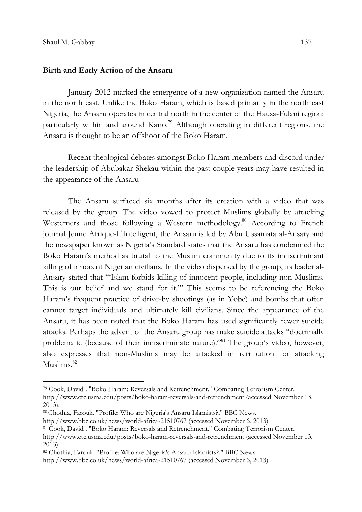### Birth and Early Action of the Ansaru

January 2012 marked the emergence of a new organization named the Ansaru in the north east. Unlike the Boko Haram, which is based primarily in the north east Nigeria, the Ansaru operates in central north in the center of the Hausa-Fulani region: particularly within and around Kano.<sup>79</sup> Although operating in different regions, the Ansaru is thought to be an offshoot of the Boko Haram.

Recent theological debates amongst Boko Haram members and discord under the leadership of Abubakar Shekau within the past couple years may have resulted in the appearance of the Ansaru

The Ansaru surfaced six months after its creation with a video that was released by the group. The video vowed to protect Muslims globally by attacking Westerners and those following a Western methodology.<sup>80</sup> According to French journal Jeune Afrique-L'Intelligent, the Ansaru is led by Abu Ussamata al-Ansary and the newspaper known as Nigeria's Standard states that the Ansaru has condemned the Boko Haram's method as brutal to the Muslim community due to its indiscriminant killing of innocent Nigerian civilians. In the video dispersed by the group, its leader al-Ansary stated that "'Islam forbids killing of innocent people, including non-Muslims. This is our belief and we stand for it.'" This seems to be referencing the Boko Haram's frequent practice of drive-by shootings (as in Yobe) and bombs that often cannot target individuals and ultimately kill civilians. Since the appearance of the Ansaru, it has been noted that the Boko Haram has used significantly fewer suicide attacks. Perhaps the advent of the Ansaru group has make suicide attacks "doctrinally problematic (because of their indiscriminate nature)."<sup>81</sup> The group's video, however, also expresses that non-Muslims may be attacked in retribution for attacking Muslims.<sup>82</sup>

http://www.bbc.co.uk/news/world-africa-21510767 (accessed November 6, 2013).

<sup>79</sup> Cook, David . "Boko Haram: Reversals and Retrenchment." Combating Terrorism Center.

http://www.ctc.usma.edu/posts/boko-haram-reversals-and-retrenchment (accessed November 13, 2013).

<sup>80</sup>Chothia, Farouk. "Profile: Who are Nigeria's Ansaru Islamists?." BBC News.

<sup>81</sup> Cook, David . "Boko Haram: Reversals and Retrenchment." Combating Terrorism Center.

http://www.ctc.usma.edu/posts/boko-haram-reversals-and-retrenchment (accessed November 13, 2013).

<sup>82</sup> Chothia, Farouk. "Profile: Who are Nigeria's Ansaru Islamists?." BBC News.

http://www.bbc.co.uk/news/world-africa-21510767 (accessed November 6, 2013).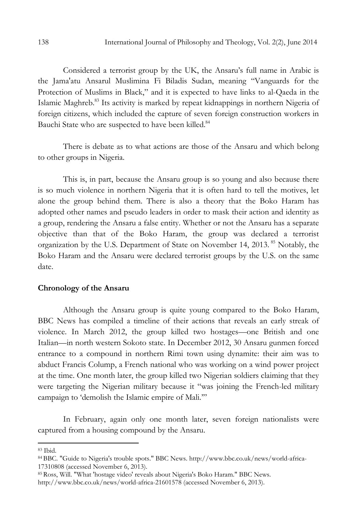Considered a terrorist group by the UK, the Ansaru's full name in Arabic is the Jama'atu Ansarul Muslimina Fi Biladis Sudan, meaning "Vanguards for the Protection of Muslims in Black," and it is expected to have links to al-Qaeda in the Islamic Maghreb.<sup>83</sup> Its activity is marked by repeat kidnappings in northern Nigeria of foreign citizens, which included the capture of seven foreign construction workers in Bauchi State who are suspected to have been killed.<sup>84</sup>

There is debate as to what actions are those of the Ansaru and which belong to other groups in Nigeria.

This is, in part, because the Ansaru group is so young and also because there is so much violence in northern Nigeria that it is often hard to tell the motives, let alone the group behind them. There is also a theory that the Boko Haram has adopted other names and pseudo leaders in order to mask their action and identity as a group, rendering the Ansaru a false entity. Whether or not the Ansaru has a separate objective than that of the Boko Haram, the group was declared a terrorist organization by the U.S. Department of State on November 14, 2013.<sup>85</sup> Notably, the Boko Haram and the Ansaru were declared terrorist groups by the U.S. on the same date.

### Chronology of the Ansaru

Although the Ansaru group is quite young compared to the Boko Haram, BBC News has compiled a timeline of their actions that reveals an early streak of violence. In March 2012, the group killed two hostages—one British and one Italian—in north western Sokoto state. In December 2012, 30 Ansaru gunmen forced entrance to a compound in northern Rimi town using dynamite: their aim was to abduct Francis Colump, a French national who was working on a wind power project at the time. One month later, the group killed two Nigerian soldiers claiming that they were targeting the Nigerian military because it "was joining the French-led military campaign to 'demolish the Islamic empire of Mali.'"

In February, again only one month later, seven foreign nationalists were captured from a housing compound by the Ansaru.

<sup>83</sup> Ibid.

<sup>84</sup> BBC. "Guide to Nigeria's trouble spots." BBC News. http://www.bbc.co.uk/news/world-africa-17310808 (accessed November 6, 2013).

<sup>85</sup>Ross, Will. "What 'hostage video' reveals about Nigeria's Boko Haram." BBC News. http://www.bbc.co.uk/news/world-africa-21601578 (accessed November 6, 2013).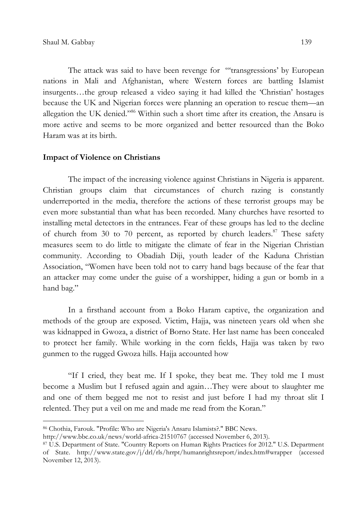The attack was said to have been revenge for "'transgressions' by European nations in Mali and Afghanistan, where Western forces are battling Islamist insurgents…the group released a video saying it had killed the 'Christian' hostages because the UK and Nigerian forces were planning an operation to rescue them—an allegation the UK denied."<sup>86</sup> Within such a short time after its creation, the Ansaru is more active and seems to be more organized and better resourced than the Boko Haram was at its birth.

#### Impact of Violence on Christians

The impact of the increasing violence against Christians in Nigeria is apparent. Christian groups claim that circumstances of church razing is constantly underreported in the media, therefore the actions of these terrorist groups may be even more substantial than what has been recorded. Many churches have resorted to installing metal detectors in the entrances. Fear of these groups has led to the decline of church from 30 to 70 percent, as reported by church leaders.<sup>87</sup> These safety measures seem to do little to mitigate the climate of fear in the Nigerian Christian community. According to Obadiah Diji, youth leader of the Kaduna Christian Association, "Women have been told not to carry hand bags because of the fear that an attacker may come under the guise of a worshipper, hiding a gun or bomb in a hand bag."

In a firsthand account from a Boko Haram captive, the organization and methods of the group are exposed. Victim, Hajja, was nineteen years old when she was kidnapped in Gwoza, a district of Borno State. Her last name has been concealed to protect her family. While working in the corn fields, Hajja was taken by two gunmen to the rugged Gwoza hills. Hajja accounted how

"If I cried, they beat me. If I spoke, they beat me. They told me I must become a Muslim but I refused again and again…They were about to slaughter me and one of them begged me not to resist and just before I had my throat slit I relented. They put a veil on me and made me read from the Koran."

<sup>86</sup> Chothia, Farouk. "Profile: Who are Nigeria's Ansaru Islamists?." BBC News.

http://www.bbc.co.uk/news/world-africa-21510767 (accessed November 6, 2013).

<sup>87</sup> U.S. Department of State. "Country Reports on Human Rights Practices for 2012." U.S. Department of State. http://www.state.gov/j/drl/rls/hrrpt/humanrightsreport/index.htm#wrapper (accessed November 12, 2013).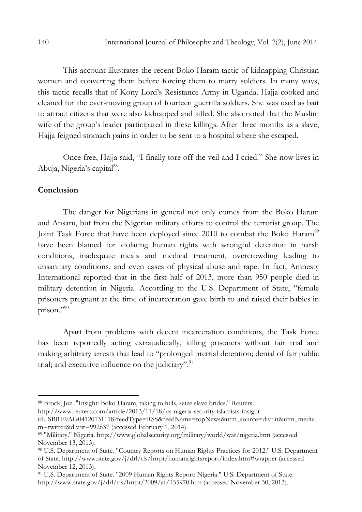This account illustrates the recent Boko Haram tactic of kidnapping Christian women and converting them before forcing them to marry soldiers. In many ways, this tactic recalls that of Kony Lord's Resistance Army in Uganda. Hajja cooked and cleaned for the ever-moving group of fourteen guerrilla soldiers. She was used as bait to attract citizens that were also kidnapped and killed. She also noted that the Muslim wife of the group's leader participated in these killings. After three months as a slave, Hajja feigned stomach pains in order to be sent to a hospital where she escaped.

Once free, Hajja said, "I finally tore off the veil and I cried." She now lives in Abuja, Nigeria's capital<sup>88</sup>.

## **Conclusion**

 $\overline{a}$ 

The danger for Nigerians in general not only comes from the Boko Haram and Ansaru, but from the Nigerian military efforts to control the terrorist group. The Joint Task Force that have been deployed since 2010 to combat the Boko Haram<sup>89</sup> have been blamed for violating human rights with wrongful detention in harsh conditions, inadequate meals and medical treatment, overcrowding leading to unsanitary conditions, and even cases of physical abuse and rape. In fact, Amnesty International reported that in the first half of 2013, more than 950 people died in military detention in Nigeria. According to the U.S. Department of State, "female prisoners pregnant at the time of incarceration gave birth to and raised their babies in prison."<sup>90</sup>

Apart from problems with decent incarceration conditions, the Task Force has been reportedly acting extrajudicially, killing prisoners without fair trial and making arbitrary arrests that lead to "prolonged pretrial detention; denial of fair public trial; and executive influence on the judiciary". $91$ 

http://www.reuters.com/article/2013/11/18/us-nigeria-security-islamists-insight-

<sup>88</sup> Brock, Joe. "Insight: Boko Haram, taking to hills, seize slave brides." Reuters.

idUSBRE9AG04120131118?feedType=RSS&feedName=topNews&utm\_source=dlvr.it&utm\_mediu m=twitter&dlvrit=992637 (accessed February 1, 2014).

<sup>89</sup> "Military." Nigeria. http://www.globalsecurity.org/military/world/war/nigeria.htm (accessed November 13, 2013).

<sup>90</sup> U.S. Department of State. "Country Reports on Human Rights Practices for 2012." U.S. Department of State. http://www.state.gov/j/drl/rls/hrrpt/humanrightsreport/index.htm#wrapper (accessed November 12, 2013).

<sup>91</sup> U.S. Department of State. "2009 Human Rights Report: Nigeria." U.S. Department of State. http://www.state.gov/j/drl/rls/hrrpt/2009/af/135970.htm (accessed November 30, 2013).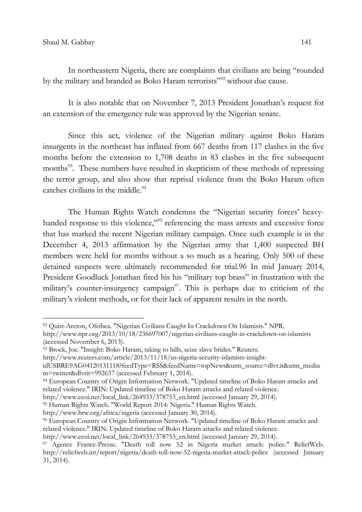In northeastern Nigeria, there are complaints that civilians are being "rounded by the military and branded as Boko Haram terrorists"<sup>92</sup> without due cause.

It is also notable that on November 7, 2013 President Jonathan's request for an extension of the emergency rule was approved by the Nigerian senate.

Since this act, violence of the Nigerian military against Boko Haram insurgents in the northeast has inflated from 667 deaths from 117 clashes in the five months before the extension to 1,708 deaths in 83 clashes in the five subsequent months<sup>93</sup>. These numbers have resulted in skepticism of these methods of repressing the terror group, and also show that reprisal violence from the Boko Haram often catches civilians in the middle.<sup>94</sup>

The Human Rights Watch condemns the "Nigerian security forces' heavyhanded response to this violence,"<sup>95</sup> referencing the mass arrests and excessive force that has marked the recent Nigerian military campaign. Once such example is in the December 4, 2013 affirmation by the Nigerian army that 1,400 suspected BH members were held for months without a so much as a hearing. Only 500 of these detained suspects were ultimately recommended for trial.96 In mid January 2014, President Goodluck Jonathan fired his his "military top brass" in frustration with the military's counter-insurgency campaign $97$ . This is perhaps due to criticism of the military's violent methods, or for their lack of apparent results in the north.

<sup>93</sup> Brock, Joe. "Insight: Boko Haram, taking to hills, seize slave brides." Reuters.

http://www.hrw.org/africa/nigeria (accessed January 30, 2014).

http://www.ecoi.net/local\_link/264933/378753\_en.html (accessed January 29, 2014).

<sup>92</sup> Quist-Arcton, Ofeibea. "Nigerian Civilians Caught In Crackdown On Islamists." NPR.

http://www.npr.org/2013/10/18/236697007/nigerian-civilians-caught-in-crackdown-on-islamists (accessed November 6, 2013).

http://www.reuters.com/article/2013/11/18/us-nigeria-security-islamists-insight-

idUSBRE9AG04120131118?feedType=RSS&feedName=topNews&utm\_source=dlvr.it&utm\_mediu m=twitter&dlvrit=992637 (accessed February 1, 2014).

<sup>94</sup> European Country of Origin Information Network. "Updated timeline of Boko Haram attacks and related violence." IRIN: Updated timeline of Boko Haram attacks and related violence.

http://www.ecoi.net/local\_link/264933/378753\_en.html (accessed January 29, 2014).

<sup>95</sup> Human Rights Watch. "World Report 2014: Nigeria." Human Rights Watch.

<sup>96</sup> European Country of Origin Information Network. "Updated timeline of Boko Haram attacks and related violence." IRIN: Updated timeline of Boko Haram attacks and related violence.

<sup>97</sup> Agence France-Presse. "Death toll now 52 in Nigeria market attack: police." ReliefWeb. http://reliefweb.int/report/nigeria/death-toll-now-52-nigeria-market-attack-police (accessed January 31, 2014).